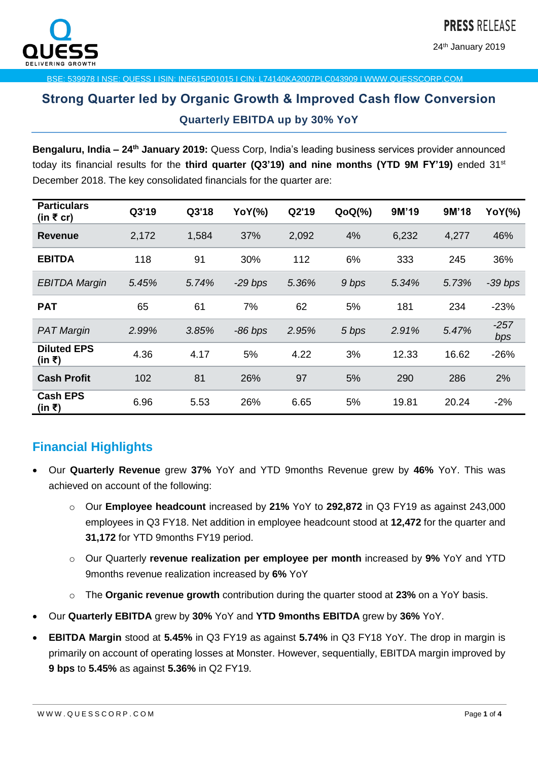

24<sup>th</sup> January 2019

BSE: 539978 I NSE: QUESS I ISIN: INE615P01015 I CIN: L74140KA2007PLC043909 I WWW.QUESSCORP.COM

# **Strong Quarter led by Organic Growth & Improved Cash flow Conversion Quarterly EBITDA up by 30% YoY**

**Bengaluru, India - 24<sup>th</sup> January 2019:** Quess Corp, India's leading business services provider announced today its financial results for the **third quarter (Q3'19) and nine months (YTD 9M FY'19)** ended 31st December 2018. The key consolidated financials for the quarter are:

| <b>Particulars</b><br>(in $\bar{\tau}$ cr) | Q3'19 | Q3'18 | <b>YoY(%)</b> | Q2'19 | $QoQ(\%)$ | 9M'19 | 9M'18 | <b>YoY(%)</b> |
|--------------------------------------------|-------|-------|---------------|-------|-----------|-------|-------|---------------|
| <b>Revenue</b>                             | 2,172 | 1,584 | 37%           | 2,092 | 4%        | 6,232 | 4,277 | 46%           |
| <b>EBITDA</b>                              | 118   | 91    | 30%           | 112   | 6%        | 333   | 245   | 36%           |
| <b>EBITDA Margin</b>                       | 5.45% | 5.74% | $-29$ bps     | 5.36% | 9 bps     | 5.34% | 5.73% | $-39$ bps     |
| <b>PAT</b>                                 | 65    | 61    | 7%            | 62    | 5%        | 181   | 234   | $-23%$        |
| <b>PAT Margin</b>                          | 2.99% | 3.85% | $-86$ bps     | 2.95% | 5 bps     | 2.91% | 5.47% | $-257$<br>bps |
| <b>Diluted EPS</b><br>(in ₹)               | 4.36  | 4.17  | 5%            | 4.22  | 3%        | 12.33 | 16.62 | $-26%$        |
| <b>Cash Profit</b>                         | 102   | 81    | 26%           | 97    | 5%        | 290   | 286   | 2%            |
| <b>Cash EPS</b><br>(in ₹)                  | 6.96  | 5.53  | 26%           | 6.65  | 5%        | 19.81 | 20.24 | $-2%$         |

## **Financial Highlights**

- Our **Quarterly Revenue** grew **37%** YoY and YTD 9months Revenue grew by **46%** YoY. This was achieved on account of the following:
	- o Our **Employee headcount** increased by **21%** YoY to **292,872** in Q3 FY19 as against 243,000 employees in Q3 FY18. Net addition in employee headcount stood at **12,472** for the quarter and **31,172** for YTD 9months FY19 period.
	- o Our Quarterly **revenue realization per employee per month** increased by **9%** YoY and YTD 9months revenue realization increased by **6%** YoY
	- o The **Organic revenue growth** contribution during the quarter stood at **23%** on a YoY basis.
- Our **Quarterly EBITDA** grew by **30%** YoY and **YTD 9months EBITDA** grew by **36%** YoY.
- **EBITDA Margin** stood at **5.45%** in Q3 FY19 as against **5.74%** in Q3 FY18 YoY. The drop in margin is primarily on account of operating losses at Monster. However, sequentially, EBITDA margin improved by **9 bps** to **5.45%** as against **5.36%** in Q2 FY19.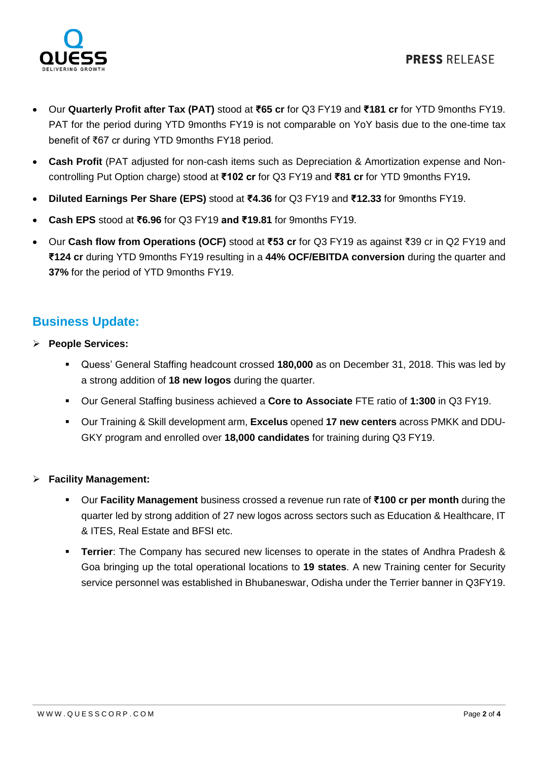

- Our **Quarterly Profit after Tax (PAT)** stood at **₹65 cr** for Q3 FY19 and **₹181 cr** for YTD 9months FY19. PAT for the period during YTD 9months FY19 is not comparable on YoY basis due to the one-time tax benefit of ₹67 cr during YTD 9months FY18 period.
- **Cash Profit** (PAT adjusted for non-cash items such as Depreciation & Amortization expense and Noncontrolling Put Option charge) stood at **₹102 cr** for Q3 FY19 and **₹81 cr** for YTD 9months FY19**.**
- **Diluted Earnings Per Share (EPS)** stood at **₹4.36** for Q3 FY19 and **₹12.33** for 9months FY19.
- **Cash EPS** stood at **₹6.96** for Q3 FY19 **and ₹19.81** for 9months FY19.
- Our **Cash flow from Operations (OCF)** stood at **₹53 cr** for Q3 FY19 as against ₹39 cr in Q2 FY19 and **₹124 cr** during YTD 9months FY19 resulting in a **44% OCF/EBITDA conversion** during the quarter and **37%** for the period of YTD 9months FY19.

## **Business Update:**

- **People Services:** 
	- Quess' General Staffing headcount crossed **180,000** as on December 31, 2018. This was led by a strong addition of **18 new logos** during the quarter.
	- Our General Staffing business achieved a **Core to Associate** FTE ratio of **1:300** in Q3 FY19.
	- Our Training & Skill development arm, **Excelus** opened **17 new centers** across PMKK and DDU-GKY program and enrolled over **18,000 candidates** for training during Q3 FY19.

#### **Facility Management:**

- Our **Facility Management** business crossed a revenue run rate of **₹100 cr per month** during the quarter led by strong addition of 27 new logos across sectors such as Education & Healthcare, IT & ITES, Real Estate and BFSI etc.
- **Terrier**: The Company has secured new licenses to operate in the states of Andhra Pradesh & Goa bringing up the total operational locations to **19 states**. A new Training center for Security service personnel was established in Bhubaneswar, Odisha under the Terrier banner in Q3FY19.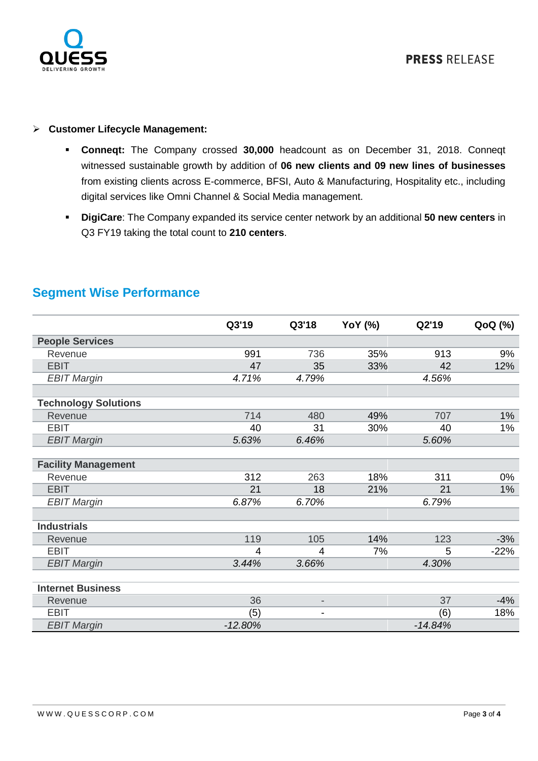

#### **Customer Lifecycle Management:**

- **Conneqt:** The Company crossed **30,000** headcount as on December 31, 2018. Conneqt witnessed sustainable growth by addition of **06 new clients and 09 new lines of businesses** from existing clients across E-commerce, BFSI, Auto & Manufacturing, Hospitality etc., including digital services like Omni Channel & Social Media management.
- **DigiCare**: The Company expanded its service center network by an additional **50 new centers** in Q3 FY19 taking the total count to **210 centers**.

|                             | Q3'19     | Q3'18                    | <b>YoY</b> (%) | Q2'19     | QoQ (%) |
|-----------------------------|-----------|--------------------------|----------------|-----------|---------|
| <b>People Services</b>      |           |                          |                |           |         |
| Revenue                     | 991       | 736                      | 35%            | 913       | 9%      |
| <b>EBIT</b>                 | 47        | 35                       | 33%            | 42        | 12%     |
| <b>EBIT Margin</b>          | 4.71%     | 4.79%                    |                | 4.56%     |         |
|                             |           |                          |                |           |         |
| <b>Technology Solutions</b> |           |                          |                |           |         |
| Revenue                     | 714       | 480                      | 49%            | 707       | 1%      |
| <b>EBIT</b>                 | 40        | 31                       | 30%            | 40        | 1%      |
| <b>EBIT Margin</b>          | 5.63%     | 6.46%                    |                | 5.60%     |         |
|                             |           |                          |                |           |         |
| <b>Facility Management</b>  |           |                          |                |           |         |
| Revenue                     | 312       | 263                      | 18%            | 311       | $0\%$   |
| <b>EBIT</b>                 | 21        | 18                       | 21%            | 21        | 1%      |
| <b>EBIT Margin</b>          | 6.87%     | 6.70%                    |                | 6.79%     |         |
|                             |           |                          |                |           |         |
| <b>Industrials</b>          |           |                          |                |           |         |
| Revenue                     | 119       | 105                      | 14%            | 123       | $-3%$   |
| <b>EBIT</b>                 | 4         | 4                        | 7%             | 5         | $-22%$  |
| <b>EBIT Margin</b>          | 3.44%     | 3.66%                    |                | 4.30%     |         |
|                             |           |                          |                |           |         |
| <b>Internet Business</b>    |           |                          |                |           |         |
| Revenue                     | 36        | $\overline{\phantom{a}}$ |                | 37        | $-4%$   |
| <b>EBIT</b>                 | (5)       | $\overline{\phantom{a}}$ |                | (6)       | 18%     |
| <b>EBIT Margin</b>          | $-12.80%$ |                          |                | $-14.84%$ |         |

## **Segment Wise Performance**